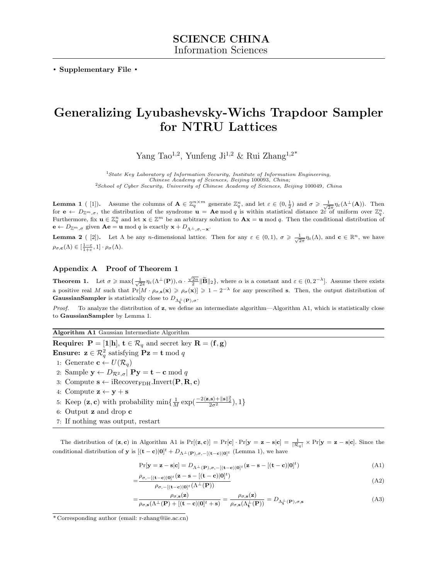**. Supplementary File .**

## **Generalizing Lyubashevsky-Wichs Trapdoor Sampler for NTRU Lattices**

Yang Tao<sup>1,2</sup>, Yunfeng Ji<sup>1,2</sup> & Rui Zhang<sup>1,2\*</sup>

<sup>1</sup>*State Key Laboratory of Information Security, Institute of Information Engineering, Chinese Academy of Sciences, Beijing* 100093*, China;* <sup>2</sup>*School of Cyber Security, University of Chinese Academy of Sciences, Beijing* 100049*, China*

**Lemma 1** (1]). Assume the columns of  $\mathbf{A} \in \mathbb{Z}_q^{n \times m}$  generate  $\mathbb{Z}_q^n$ , and let  $\varepsilon \in (0, \frac{1}{2})$  and  $\sigma \geq \frac{1}{\sqrt{2\pi}} \eta_{\varepsilon}(\Lambda^{\perp}(\mathbf{A}))$ . Then for  $\mathbf{e} \leftarrow D_{\mathbb{Z}^m,\sigma}$ , the distribution of the syndrome  $\mathbf{u} = \mathbf{A}\mathbf{e} \bmod q$  is within statistical distance  $2\epsilon$  of uniform over  $\mathbb{Z}_q^n$ . Furthermore, fix  $\mathbf{u} \in \mathbb{Z}_q^n$  and let  $\mathbf{x} \in \mathbb{Z}^m$  be an arbitrary solution to  $\mathbf{A}\mathbf{x} = \mathbf{u} \mod q$ . Then the conditional distribution of  $\mathbf{e} \leftarrow D_{\mathbb{Z}^m, \sigma}$  given  $\mathbf{A}\mathbf{e} = \mathbf{u} \mod q$  is exactly  $\mathbf{x} + D_{\Lambda^{\perp}, \sigma, -\mathbf{x}}$ .

**Lemma 2** ([2]). Let  $\Lambda$  be any *n*-dimensional lattice. Then for any  $\varepsilon \in (0,1)$ ,  $\sigma \geq \frac{1}{\sqrt{2\pi}} \eta_{\varepsilon}(\Lambda)$ , and  $\mathbf{c} \in \mathbb{R}^n$ , we have  $\rho_{\sigma, \mathbf{c}}(\Lambda) \in [\frac{1-\varepsilon}{1+\varepsilon}, 1] \cdot \rho_{\sigma}(\Lambda).$ 

## **Appendix A Proof of Theorem 1**

**Theorem 1.** Let  $\sigma \ge \max\{\frac{1}{\sqrt{2\pi}}\eta_{\varepsilon}(\Lambda^{\perp}(\mathbf{P})), \alpha \cdot \frac{\sqrt{2n}}{2} \|\widetilde{\mathbf{B}}\|_2\}$ , where  $\alpha$  is a constant and  $\varepsilon \in (0, 2^{-\lambda}]$ . Assume there exists a positive real *M* such that  $Pr[M \cdot \rho_{\sigma, \mathbf{s}}(\mathbf{x}) \geq \rho_{\sigma}(\mathbf{x})] \geq 1 - 2^{-\lambda}$  for any prescribed **s**. Then, the output distribution of **GaussianSampler** is statistically close to  $D_{\Lambda_{\mathbf{t}}^{\perp}}(\mathbf{p}), \sigma$ .

*Proof.* To analyze the distribution of **z**, we define an intermediate algorithm—Algorithm A1, which is statistically close to **GaussianSampler** by Lemma 1.

**Algorithm A1** Gaussian Intermediate Algorithm

**Require:**  $P = [\mathbf{1}|\mathbf{h}]$ ,  $\mathbf{t} \in \mathcal{R}_q$  and secret key  $\mathbf{R} = (\mathbf{f}, \mathbf{g})$ **Ensure:**  $\mathbf{z} \in \mathcal{R}_q^2$  satisfying  $\mathbf{Pz} = \mathbf{t} \bmod q$ 1: Generate  $\mathbf{c} \leftarrow U(\mathcal{R}_q)$ 2: Sample  $\mathbf{y} \leftarrow D_{\mathcal{R}^2, \sigma}$   $\mathbf{Py} = \mathbf{t} - \mathbf{c} \mod q$ 3: Compute  $\mathbf{s} \leftarrow \text{iRecover}_{\text{FDH}}.\text{Invert}(\mathbf{P}, \mathbf{R}, \mathbf{c})$ 4: Compute  $\mathbf{z} \leftarrow \mathbf{y} + \mathbf{s}$ 

- 5: Keep  $(\mathbf{z}, \mathbf{c})$  with probability  $\min\{\frac{1}{M}\exp(\frac{-2\langle \mathbf{z}, \mathbf{s}\rangle + ||\mathbf{s}||_2^2}{2\sigma^2}), 1\}$
- 6: Output **z** and drop **c**
- 7: If nothing was output, restart

The distribution of  $(\mathbf{z}, \mathbf{c})$  in Algorithm A1 is  $Pr[(\mathbf{z}, \mathbf{c})] = Pr[\mathbf{c}] \cdot Pr[\mathbf{y} = \mathbf{z} - \mathbf{s} | \mathbf{c}] = \frac{1}{|\mathcal{R}_q|} \times Pr[\mathbf{y} = \mathbf{z} - \mathbf{s} | \mathbf{c}]$ . Since the conditional distribution of **y** is  $[(\mathbf{t} - \mathbf{c})|\mathbf{0}]^{t} + D_{\Lambda^{\perp}(\mathbf{P}), \sigma, -[(\mathbf{t} - \mathbf{c})|\mathbf{0}]^{t}}$  (Lemma 1), we have

$$
\Pr[\mathbf{y} = \mathbf{z} - \mathbf{s} | \mathbf{c}] = D_{\Lambda^{\perp}(\mathbf{P}), \sigma, -[(\mathbf{t} - \mathbf{c}) | \mathbf{0}]^t} (\mathbf{z} - \mathbf{s} - [(\mathbf{t} - \mathbf{c}) | \mathbf{0}]^t)
$$
(A1)

$$
=\frac{\rho_{\sigma,-[(\mathbf{t}-\mathbf{c})|\mathbf{0}]^t}(\mathbf{z}-\mathbf{s}-[(\mathbf{t}-\mathbf{c})|\mathbf{0}]^t)}{\rho_{\sigma,-[(\mathbf{t}-\mathbf{c})|\mathbf{0}]^t}(\Lambda^\perp(\mathbf{P}))}
$$
(A2)

$$
=\frac{\rho_{\sigma,\mathbf{s}}(\mathbf{z})}{\rho_{\sigma,\mathbf{s}}(\Lambda^{\perp}(\mathbf{P}) + [(\mathbf{t}-\mathbf{c})|\mathbf{0}]^t + \mathbf{s})} = \frac{\rho_{\sigma,\mathbf{s}}(\mathbf{z})}{\rho_{\sigma,\mathbf{s}}(\Lambda^{\perp}_{\mathbf{t}}(\mathbf{P}))} = D_{\Lambda^{\perp}_{\mathbf{t}}(\mathbf{P}),\sigma,\mathbf{s}}
$$
(A3)

<sup>\*</sup> Corresponding author (email: r-zhang@iie.ac.cn)